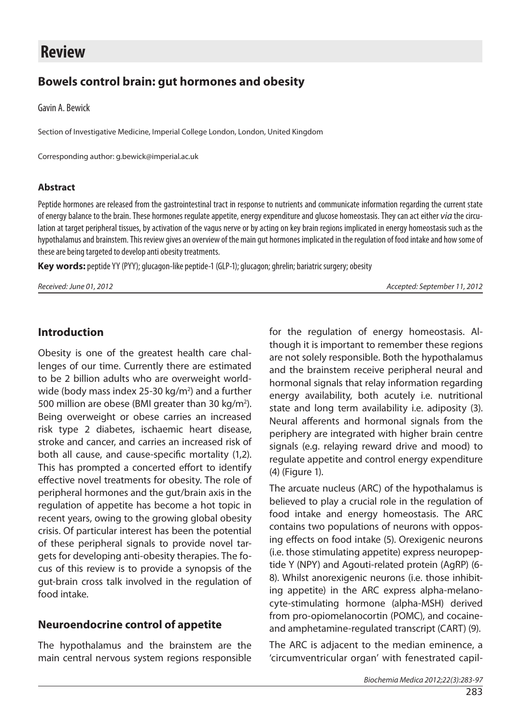# **Review**

# **Bowels control brain: gut hormones and obesity**

Gavin A. Bewick

Section of Investigative Medicine, Imperial College London, London, United Kingdom

Corresponding author: g.bewick@imperial.ac.uk

#### **Abstract**

Peptide hormones are released from the gastrointestinal tract in response to nutrients and communicate information regarding the current state of energy balance to the brain. These hormones regulate appetite, energy expenditure and glucose homeostasis. They can act either *via* the circulation at target peripheral tissues, by activation of the vagus nerve or by acting on key brain regions implicated in energy homeostasis such as the hypothalamus and brainstem. This review gives an overview of the main gut hormones implicated in the regulation of food intake and how some of these are being targeted to develop anti obesity treatments.

**Key words:** peptide YY (PYY); glucagon-like peptide-1 (GLP-1); glucagon; ghrelin; bariatric surgery; obesity

*Received: June 01, 2012 Accepted: September 11, 2012*

#### **Introduction**

Obesity is one of the greatest health care challenges of our time. Currently there are estimated to be 2 billion adults who are overweight worldwide (body mass index 25-30 kg/m<sup>2</sup>) and a further 500 million are obese (BMI greater than 30 kg/m<sup>2</sup>). Being overweight or obese carries an increased risk type 2 diabetes, ischaemic heart disease, stroke and cancer, and carries an increased risk of both all cause, and cause-specific mortality (1,2). This has prompted a concerted effort to identify effective novel treatments for obesity. The role of peripheral hormones and the gut/brain axis in the regulation of appetite has become a hot topic in recent years, owing to the growing global obesity crisis. Of particular interest has been the potential of these peripheral signals to provide novel targets for developing anti-obesity therapies. The focus of this review is to provide a synopsis of the gut-brain cross talk involved in the regulation of food intake.

#### **Neuroendocrine control of appetite**

The hypothalamus and the brainstem are the main central nervous system regions responsible for the regulation of energy homeostasis. Although it is important to remember these regions are not solely responsible. Both the hypothalamus and the brainstem receive peripheral neural and hormonal signals that relay information regarding energy availability, both acutely i.e. nutritional state and long term availability i.e. adiposity (3). Neural afferents and hormonal signals from the periphery are integrated with higher brain centre signals (e.g. relaying reward drive and mood) to regulate appetite and control energy expenditure (4) (Figure 1).

The arcuate nucleus (ARC) of the hypothalamus is believed to play a crucial role in the regulation of food intake and energy homeostasis. The ARC contains two populations of neurons with opposing effects on food intake (5). Orexigenic neurons (i.e. those stimulating appetite) express neuropeptide Y (NPY) and Agouti-related protein (AgRP) (6- 8). Whilst anorexigenic neurons (i.e. those inhibiting appetite) in the ARC express alpha-melanocyte-stimulating hormone (alpha-MSH) derived from pro-opiomelanocortin (POMC), and cocaineand amphetamine-regulated transcript (CART) (9).

The ARC is adjacent to the median eminence, a 'circumventricular organ' with fenestrated capil-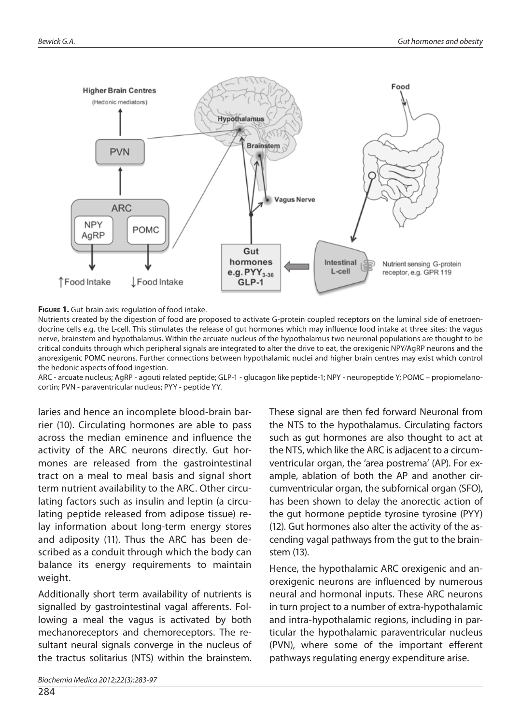

#### **Figure 1.** Gut-brain axis: regulation of food intake.

Nutrients created by the digestion of food are proposed to activate G-protein coupled receptors on the luminal side of enetroendocrine cells e.g. the L-cell. This stimulates the release of gut hormones which may influence food intake at three sites: the vagus nerve, brainstem and hypothalamus. Within the arcuate nucleus of the hypothalamus two neuronal populations are thought to be critical conduits through which peripheral signals are integrated to alter the drive to eat, the orexigenic NPY/AgRP neurons and the anorexigenic POMC neurons. Further connections between hypothalamic nuclei and higher brain centres may exist which control the hedonic aspects of food ingestion.

ARC - arcuate nucleus; AgRP - agouti related peptide; GLP-1 - glucagon like peptide-1; NPY - neuropeptide Y; POMC – propiomelanocortin; PVN - paraventricular nucleus; PYY - peptide YY.

laries and hence an incomplete blood-brain barrier (10). Circulating hormones are able to pass across the median eminence and influence the activity of the ARC neurons directly. Gut hormones are released from the gastrointestinal tract on a meal to meal basis and signal short term nutrient availability to the ARC. Other circulating factors such as insulin and leptin (a circulating peptide released from adipose tissue) relay information about long-term energy stores and adiposity (11). Thus the ARC has been described as a conduit through which the body can balance its energy requirements to maintain weight.

Additionally short term availability of nutrients is signalled by gastrointestinal vagal afferents. Following a meal the vagus is activated by both mechanoreceptors and chemoreceptors. The resultant neural signals converge in the nucleus of the tractus solitarius (NTS) within the brainstem. These signal are then fed forward Neuronal from the NTS to the hypothalamus. Circulating factors such as gut hormones are also thought to act at the NTS, which like the ARC is adjacent to a circumventricular organ, the 'area postrema' (AP). For example, ablation of both the AP and another circumventricular organ, the subfornical organ (SFO), has been shown to delay the anorectic action of the gut hormone peptide tyrosine tyrosine (PYY) (12). Gut hormones also alter the activity of the ascending vagal pathways from the gut to the brainstem (13).

Hence, the hypothalamic ARC orexigenic and anorexigenic neurons are influenced by numerous neural and hormonal inputs. These ARC neurons in turn project to a number of extra-hypothalamic and intra-hypothalamic regions, including in particular the hypothalamic paraventricular nucleus (PVN), where some of the important efferent pathways regulating energy expenditure arise.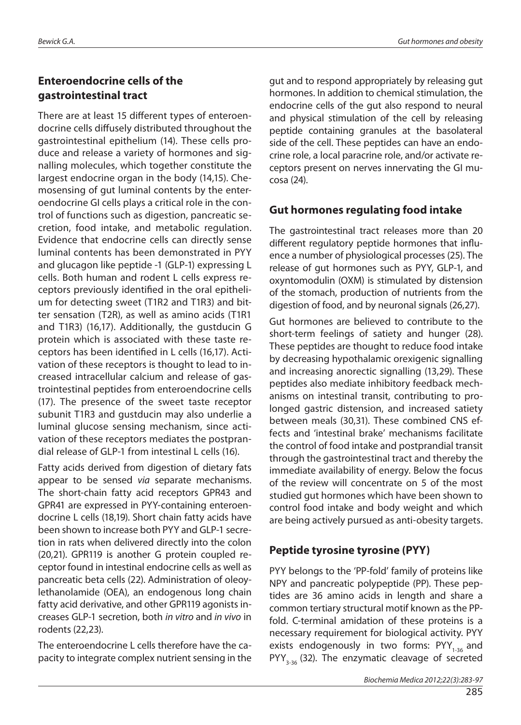## **Enteroendocrine cells of the gastrointestinal tract**

There are at least 15 different types of enteroendocrine cells diffusely distributed throughout the gastrointestinal epithelium (14). These cells produce and release a variety of hormones and signalling molecules, which together constitute the largest endocrine organ in the body (14,15). Chemosensing of gut luminal contents by the enteroendocrine GI cells plays a critical role in the control of functions such as digestion, pancreatic secretion, food intake, and metabolic regulation. Evidence that endocrine cells can directly sense luminal contents has been demonstrated in PYY and glucagon like peptide -1 (GLP-1) expressing L cells. Both human and rodent L cells express receptors previously identified in the oral epithelium for detecting sweet (T1R2 and T1R3) and bitter sensation (T2R), as well as amino acids (T1R1 and T1R3) (16,17). Additionally, the gustducin G protein which is associated with these taste receptors has been identified in L cells (16,17). Activation of these receptors is thought to lead to increased intracellular calcium and release of gastrointestinal peptides from enteroendocrine cells (17). The presence of the sweet taste receptor subunit T1R3 and gustducin may also underlie a luminal glucose sensing mechanism, since activation of these receptors mediates the postprandial release of GLP-1 from intestinal L cells (16).

Fatty acids derived from digestion of dietary fats appear to be sensed *via* separate mechanisms. The short-chain fatty acid receptors GPR43 and GPR41 are expressed in PYY-containing enteroendocrine L cells (18,19). Short chain fatty acids have been shown to increase both PYY and GLP-1 secretion in rats when delivered directly into the colon (20,21). GPR119 is another G protein coupled receptor found in intestinal endocrine cells as well as pancreatic beta cells (22). Administration of oleoylethanolamide (OEA), an endogenous long chain fatty acid derivative, and other GPR119 agonists increases GLP-1 secretion, both *in vitro* and *in vivo* in rodents (22,23).

The enteroendocrine L cells therefore have the capacity to integrate complex nutrient sensing in the gut and to respond appropriately by releasing gut hormones. In addition to chemical stimulation, the endocrine cells of the gut also respond to neural and physical stimulation of the cell by releasing peptide containing granules at the basolateral side of the cell. These peptides can have an endocrine role, a local paracrine role, and/or activate receptors present on nerves innervating the GI mucosa (24).

## **Gut hormones regulating food intake**

The gastrointestinal tract releases more than 20 different regulatory peptide hormones that influence a number of physiological processes (25). The release of gut hormones such as PYY, GLP-1, and oxyntomodulin (OXM) is stimulated by distension of the stomach, production of nutrients from the digestion of food, and by neuronal signals (26,27).

Gut hormones are believed to contribute to the short-term feelings of satiety and hunger (28). These peptides are thought to reduce food intake by decreasing hypothalamic orexigenic signalling and increasing anorectic signalling (13,29). These peptides also mediate inhibitory feedback mechanisms on intestinal transit, contributing to prolonged gastric distension, and increased satiety between meals (30,31). These combined CNS effects and 'intestinal brake' mechanisms facilitate the control of food intake and postprandial transit through the gastrointestinal tract and thereby the immediate availability of energy. Below the focus of the review will concentrate on 5 of the most studied gut hormones which have been shown to control food intake and body weight and which are being actively pursued as anti-obesity targets.

# **Peptide tyrosine tyrosine (PYY)**

PYY belongs to the 'PP-fold' family of proteins like NPY and pancreatic polypeptide (PP). These peptides are 36 amino acids in length and share a common tertiary structural motif known as the PPfold. C-terminal amidation of these proteins is a necessary requirement for biological activity. PYY exists endogenously in two forms:  $PYY_{1-36}$  and  $PYY_{3,36}$  (32). The enzymatic cleavage of secreted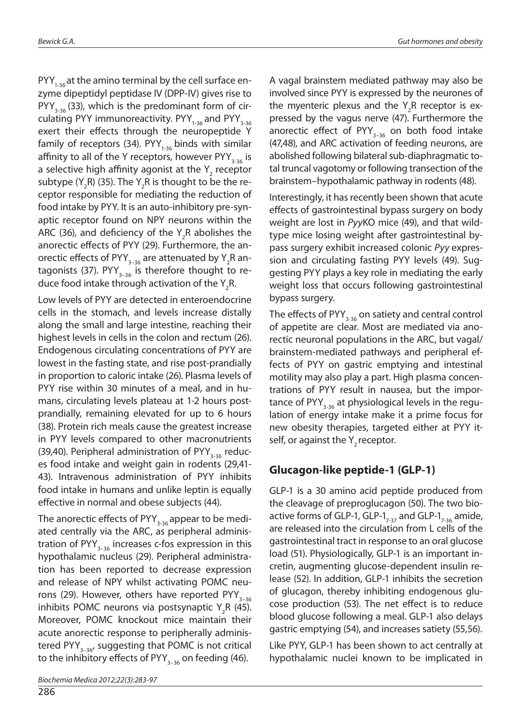$PYY_{1,36}$  at the amino terminal by the cell surface enzyme dipeptidyl peptidase IV (DPP-IV) gives rise to  $PYY_{3,36}$  (33), which is the predominant form of circulating PYY immunoreactivity. PYY<sub>1-36</sub> and PYY<sub>3-36</sub> exert their effects through the neuropeptide Y family of receptors (34).  $PYY_{1.36}$  binds with similar affinity to all of the Y receptors, however  $PYY_{3,36}$  is a selective high affinity agonist at the  $\mathsf{Y}_\mathsf{2}$  receptor subtype (Y<sub>2</sub>R) (35). The Y<sub>2</sub>R is thought to be the receptor responsible for mediating the reduction of food intake by PYY. It is an auto-inhibitory pre-synaptic receptor found on NPY neurons within the ARC (36), and deficiency of the  $Y_{2}R$  abolishes the anorectic effects of PYY (29). Furthermore, the anorectic effects of PYY $_{\textrm{3--36}}$  are attenuated by Y $_{\textrm{2}}$ R antagonists (37). PYY<sub>3-36</sub> is therefore thought to reduce food intake through activation of the Y<sub>2</sub>R.

Low levels of PYY are detected in enteroendocrine cells in the stomach, and levels increase distally along the small and large intestine, reaching their highest levels in cells in the colon and rectum (26). Endogenous circulating concentrations of PYY are lowest in the fasting state, and rise post-prandially in proportion to caloric intake (26). Plasma levels of PYY rise within 30 minutes of a meal, and in humans, circulating levels plateau at 1-2 hours postprandially, remaining elevated for up to 6 hours (38). Protein rich meals cause the greatest increase in PYY levels compared to other macronutrients (39,40). Peripheral administration of PYY<sub>3,36</sub> reduces food intake and weight gain in rodents (29,41- 43). Intravenous administration of PYY inhibits food intake in humans and unlike leptin is equally effective in normal and obese subjects (44).

The anorectic effects of  $PYY_{3.36}$  appear to be mediated centrally via the ARC, as peripheral administration of PYY<sub>3–36</sub> increases c-fos expression in this hypothalamic nucleus (29). Peripheral administration has been reported to decrease expression and release of NPY whilst activating POMC neurons (29). However, others have reported PYY<sub>3-36</sub> inhibits POMC neurons via postsynaptic Y<sub>2</sub>R (45). Moreover, POMC knockout mice maintain their acute anorectic response to peripherally administered PYY<sub>3-36</sub>, suggesting that POMC is not critical to the inhibitory effects of PYY<sub>3–36</sub> on feeding (46).

286

A vagal brainstem mediated pathway may also be involved since PYY is expressed by the neurones of the myenteric plexus and the  $Y_2R$  receptor is expressed by the vagus nerve (47). Furthermore the anorectic effect of  $PYY_{3-36}$  on both food intake (47,48), and ARC activation of feeding neurons, are abolished following bilateral sub-diaphragmatic total truncal vagotomy or following transection of the brainstem–hypothalamic pathway in rodents (48).

Interestingly, it has recently been shown that acute effects of gastrointestinal bypass surgery on body weight are lost in *Pyy*KO mice (49), and that wildtype mice losing weight after gastrointestinal bypass surgery exhibit increased colonic *Pyy* expression and circulating fasting PYY levels (49). Suggesting PYY plays a key role in mediating the early weight loss that occurs following gastrointestinal bypass surgery.

The effects of  $PYY_{3-36}$  on satiety and central control of appetite are clear. Most are mediated via anorectic neuronal populations in the ARC, but vagal/ brainstem-mediated pathways and peripheral effects of PYY on gastric emptying and intestinal motility may also play a part. High plasma concentrations of PYY result in nausea, but the importance of PYY<sub>3-36</sub> at physiological levels in the regulation of energy intake make it a prime focus for new obesity therapies, targeted either at PYY itself, or against the  $Y$ <sub>2</sub> receptor.

#### **Glucagon-like peptide-1 (GLP-1)**

GLP-1 is a 30 amino acid peptide produced from the cleavage of preproglucagon (50). The two bioactive forms of GLP-1, GLP-1 $_{7-37}$  and GLP-1 $_{7-36}$  amide, are released into the circulation from L cells of the gastrointestinal tract in response to an oral glucose load (51). Physiologically, GLP-1 is an important incretin, augmenting glucose-dependent insulin release (52). In addition, GLP-1 inhibits the secretion of glucagon, thereby inhibiting endogenous glucose production (53). The net effect is to reduce blood glucose following a meal. GLP-1 also delays gastric emptying (54), and increases satiety (55,56).

Like PYY, GLP-1 has been shown to act centrally at hypothalamic nuclei known to be implicated in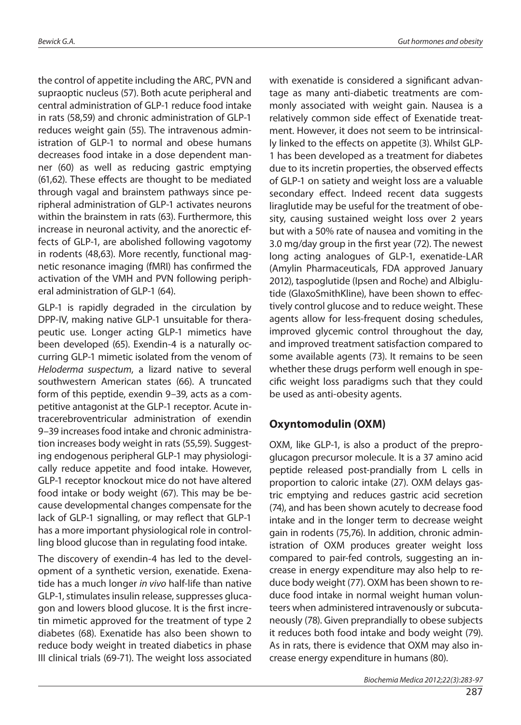the control of appetite including the ARC, PVN and supraoptic nucleus (57). Both acute peripheral and central administration of GLP-1 reduce food intake in rats (58,59) and chronic administration of GLP-1 reduces weight gain (55). The intravenous administration of GLP-1 to normal and obese humans decreases food intake in a dose dependent manner (60) as well as reducing gastric emptying (61,62). These effects are thought to be mediated through vagal and brainstem pathways since peripheral administration of GLP-1 activates neurons within the brainstem in rats (63). Furthermore, this increase in neuronal activity, and the anorectic effects of GLP-1, are abolished following vagotomy in rodents (48,63). More recently, functional magnetic resonance imaging (fMRI) has confirmed the activation of the VMH and PVN following peripheral administration of GLP-1 (64).

GLP-1 is rapidly degraded in the circulation by DPP-IV, making native GLP-1 unsuitable for therapeutic use. Longer acting GLP-1 mimetics have been developed (65). Exendin-4 is a naturally occurring GLP-1 mimetic isolated from the venom of *Heloderma suspectum*, a lizard native to several southwestern American states (66). A truncated form of this peptide, exendin 9–39, acts as a competitive antagonist at the GLP-1 receptor. Acute intracerebroventricular administration of exendin 9–39 increases food intake and chronic administration increases body weight in rats (55,59). Suggesting endogenous peripheral GLP-1 may physiologically reduce appetite and food intake. However, GLP-1 receptor knockout mice do not have altered food intake or body weight (67). This may be because developmental changes compensate for the lack of GLP-1 signalling, or may reflect that GLP-1 has a more important physiological role in controlling blood glucose than in regulating food intake.

The discovery of exendin-4 has led to the development of a synthetic version, exenatide. Exenatide has a much longer *in vivo* half-life than native GLP-1, stimulates insulin release, suppresses glucagon and lowers blood glucose. It is the first incretin mimetic approved for the treatment of type 2 diabetes (68). Exenatide has also been shown to reduce body weight in treated diabetics in phase III clinical trials (69-71). The weight loss associated

with exenatide is considered a significant advantage as many anti-diabetic treatments are commonly associated with weight gain. Nausea is a relatively common side effect of Exenatide treatment. However, it does not seem to be intrinsically linked to the effects on appetite (3). Whilst GLP-1 has been developed as a treatment for diabetes due to its incretin properties, the observed effects of GLP-1 on satiety and weight loss are a valuable secondary effect. Indeed recent data suggests liraglutide may be useful for the treatment of obesity, causing sustained weight loss over 2 years but with a 50% rate of nausea and vomiting in the 3.0 mg/day group in the first year (72). The newest long acting analogues of GLP-1, exenatide-LAR (Amylin Pharmaceuticals, FDA approved January 2012), taspoglutide (Ipsen and Roche) and Albiglutide (GlaxoSmithKline), have been shown to effectively control glucose and to reduce weight. These agents allow for less-frequent dosing schedules, improved glycemic control throughout the day, and improved treatment satisfaction compared to some available agents (73). It remains to be seen whether these drugs perform well enough in specific weight loss paradigms such that they could be used as anti-obesity agents.

#### **Oxyntomodulin (OXM)**

OXM, like GLP-1, is also a product of the preproglucagon precursor molecule. It is a 37 amino acid peptide released post-prandially from L cells in proportion to caloric intake (27). OXM delays gastric emptying and reduces gastric acid secretion (74), and has been shown acutely to decrease food intake and in the longer term to decrease weight gain in rodents (75,76). In addition, chronic administration of OXM produces greater weight loss compared to pair-fed controls, suggesting an increase in energy expenditure may also help to reduce body weight (77). OXM has been shown to reduce food intake in normal weight human volunteers when administered intravenously or subcutaneously (78). Given preprandially to obese subjects it reduces both food intake and body weight (79). As in rats, there is evidence that OXM may also increase energy expenditure in humans (80).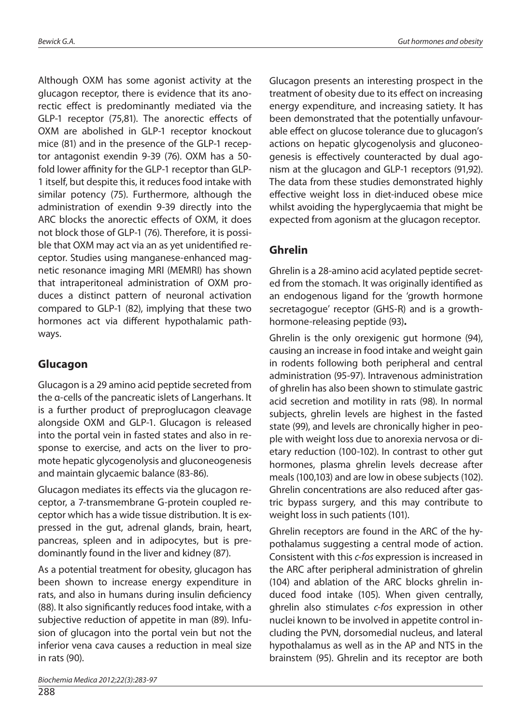Although OXM has some agonist activity at the glucagon receptor, there is evidence that its anorectic effect is predominantly mediated via the GLP-1 receptor (75,81). The anorectic effects of OXM are abolished in GLP-1 receptor knockout mice (81) and in the presence of the GLP-1 receptor antagonist exendin 9-39 (76). OXM has a 50 fold lower affinity for the GLP-1 receptor than GLP-1 itself, but despite this, it reduces food intake with similar potency (75). Furthermore, although the administration of exendin 9-39 directly into the ARC blocks the anorectic effects of OXM, it does not block those of GLP-1 (76). Therefore, it is possible that OXM may act via an as yet unidentified receptor. Studies using manganese-enhanced magnetic resonance imaging MRI (MEMRI) has shown that intraperitoneal administration of OXM produces a distinct pattern of neuronal activation compared to GLP-1 (82), implying that these two hormones act via different hypothalamic pathways.

### **Glucagon**

Glucagon is a 29 amino acid peptide secreted from the α-cells of the pancreatic islets of Langerhans. It is a further product of preproglucagon cleavage alongside OXM and GLP-1. Glucagon is released into the portal vein in fasted states and also in response to exercise, and acts on the liver to promote hepatic glycogenolysis and gluconeogenesis and maintain glycaemic balance (83-86).

Glucagon mediates its effects via the glucagon receptor, a 7-transmembrane G-protein coupled receptor which has a wide tissue distribution. It is expressed in the gut, adrenal glands, brain, heart, pancreas, spleen and in adipocytes, but is predominantly found in the liver and kidney (87).

As a potential treatment for obesity, glucagon has been shown to increase energy expenditure in rats, and also in humans during insulin deficiency (88). It also significantly reduces food intake, with a subjective reduction of appetite in man (89). Infusion of glucagon into the portal vein but not the inferior vena cava causes a reduction in meal size in rats (90).

288

Glucagon presents an interesting prospect in the treatment of obesity due to its effect on increasing energy expenditure, and increasing satiety. It has been demonstrated that the potentially unfavourable effect on glucose tolerance due to glucagon's actions on hepatic glycogenolysis and gluconeogenesis is effectively counteracted by dual agonism at the glucagon and GLP-1 receptors (91,92). The data from these studies demonstrated highly effective weight loss in diet-induced obese mice whilst avoiding the hyperglycaemia that might be expected from agonism at the glucagon receptor.

## **Ghrelin**

Ghrelin is a 28-amino acid acylated peptide secreted from the stomach. It was originally identified as an endogenous ligand for the 'growth hormone secretagogue' receptor (GHS-R) and is a growthhormone-releasing peptide (93)**.**

Ghrelin is the only orexigenic gut hormone (94), causing an increase in food intake and weight gain in rodents following both peripheral and central administration (95-97). Intravenous administration of ghrelin has also been shown to stimulate gastric acid secretion and motility in rats (98). In normal subjects, ghrelin levels are highest in the fasted state (99), and levels are chronically higher in people with weight loss due to anorexia nervosa or dietary reduction (100-102). In contrast to other gut hormones, plasma ghrelin levels decrease after meals (100,103) and are low in obese subjects (102). Ghrelin concentrations are also reduced after gastric bypass surgery, and this may contribute to weight loss in such patients (101).

Ghrelin receptors are found in the ARC of the hypothalamus suggesting a central mode of action. Consistent with this *c-fos* expression is increased in the ARC after peripheral administration of ghrelin (104) and ablation of the ARC blocks ghrelin induced food intake (105). When given centrally, ghrelin also stimulates *c-fos* expression in other nuclei known to be involved in appetite control including the PVN, dorsomedial nucleus, and lateral hypothalamus as well as in the AP and NTS in the brainstem (95). Ghrelin and its receptor are both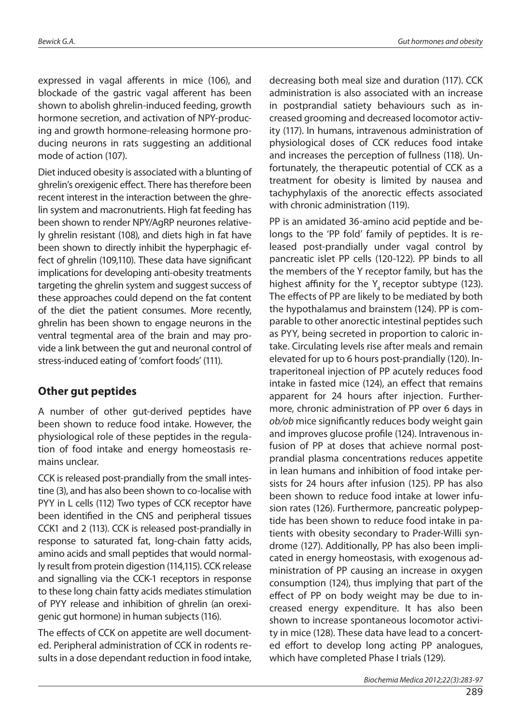expressed in vagal afferents in mice (106), and blockade of the gastric vagal afferent has been shown to abolish ghrelin-induced feeding, growth hormone secretion, and activation of NPY-producing and growth hormone-releasing hormone producing neurons in rats suggesting an additional mode of action (107).

Diet induced obesity is associated with a blunting of ghrelin's orexigenic effect. There has therefore been recent interest in the interaction between the ghrelin system and macronutrients. High fat feeding has been shown to render NPY/AgRP neurones relatively ghrelin resistant (108), and diets high in fat have been shown to directly inhibit the hyperphagic effect of ghrelin (109,110). These data have significant implications for developing anti-obesity treatments targeting the ghrelin system and suggest success of these approaches could depend on the fat content of the diet the patient consumes. More recently, ghrelin has been shown to engage neurons in the ventral tegmental area of the brain and may provide a link between the gut and neuronal control of stress-induced eating of 'comfort foods' (111).

#### **Other gut peptides**

A number of other gut-derived peptides have been shown to reduce food intake. However, the physiological role of these peptides in the regulation of food intake and energy homeostasis remains unclear.

CCK is released post-prandially from the small intestine (3), and has also been shown to co-localise with PYY in L cells (112) Two types of CCK receptor have been identified in the CNS and peripheral tissues CCK1 and 2 (113). CCK is released post-prandially in response to saturated fat, long-chain fatty acids, amino acids and small peptides that would normally result from protein digestion (114,115). CCK release and signalling via the CCK-1 receptors in response to these long chain fatty acids mediates stimulation of PYY release and inhibition of ghrelin (an orexigenic gut hormone) in human subjects (116).

The effects of CCK on appetite are well documented. Peripheral administration of CCK in rodents results in a dose dependant reduction in food intake,

decreasing both meal size and duration (117). CCK administration is also associated with an increase in postprandial satiety behaviours such as increased grooming and decreased locomotor activity (117). In humans, intravenous administration of physiological doses of CCK reduces food intake and increases the perception of fullness (118). Unfortunately, the therapeutic potential of CCK as a treatment for obesity is limited by nausea and tachyphylaxis of the anorectic effects associated with chronic administration (119).

PP is an amidated 36-amino acid peptide and belongs to the 'PP fold' family of peptides. It is released post-prandially under vagal control by pancreatic islet PP cells (120-122). PP binds to all the members of the Y receptor family, but has the highest affinity for the  $Y<sub>4</sub>$  receptor subtype (123). The effects of PP are likely to be mediated by both the hypothalamus and brainstem (124). PP is comparable to other anorectic intestinal peptides such as PYY, being secreted in proportion to caloric intake. Circulating levels rise after meals and remain elevated for up to 6 hours post-prandially (120). Intraperitoneal injection of PP acutely reduces food intake in fasted mice (124), an effect that remains apparent for 24 hours after injection. Furthermore, chronic administration of PP over 6 days in *ob/ob* mice significantly reduces body weight gain and improves glucose profile (124). Intravenous infusion of PP at doses that achieve normal postprandial plasma concentrations reduces appetite in lean humans and inhibition of food intake persists for 24 hours after infusion (125). PP has also been shown to reduce food intake at lower infusion rates (126). Furthermore, pancreatic polypeptide has been shown to reduce food intake in patients with obesity secondary to Prader-Willi syndrome (127). Additionally, PP has also been implicated in energy homeostasis, with exogenous administration of PP causing an increase in oxygen consumption (124), thus implying that part of the effect of PP on body weight may be due to increased energy expenditure. It has also been shown to increase spontaneous locomotor activity in mice (128). These data have lead to a concerted effort to develop long acting PP analogues, which have completed Phase I trials (129).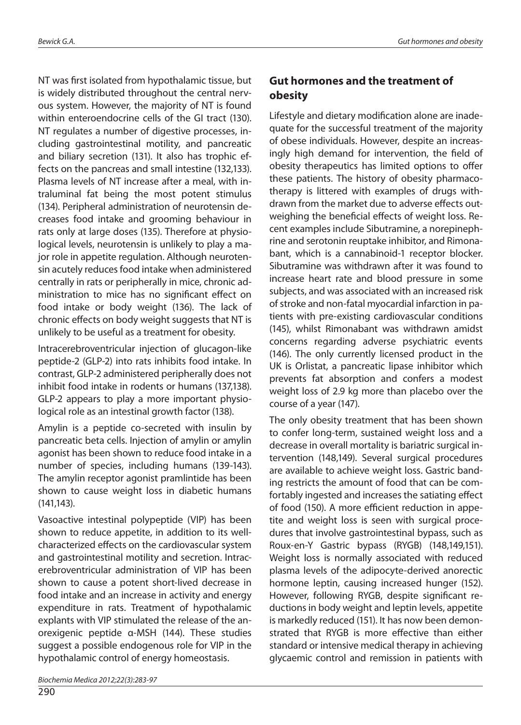NT was first isolated from hypothalamic tissue, but is widely distributed throughout the central nervous system. However, the majority of NT is found within enteroendocrine cells of the GI tract (130). NT regulates a number of digestive processes, including gastrointestinal motility, and pancreatic and biliary secretion (131). It also has trophic effects on the pancreas and small intestine (132,133). Plasma levels of NT increase after a meal, with intraluminal fat being the most potent stimulus (134). Peripheral administration of neurotensin decreases food intake and grooming behaviour in rats only at large doses (135). Therefore at physiological levels, neurotensin is unlikely to play a major role in appetite regulation. Although neurotensin acutely reduces food intake when administered centrally in rats or peripherally in mice, chronic administration to mice has no significant effect on food intake or body weight (136). The lack of chronic effects on body weight suggests that NT is unlikely to be useful as a treatment for obesity.

Intracerebroventricular injection of glucagon-like peptide-2 (GLP-2) into rats inhibits food intake. In contrast, GLP-2 administered peripherally does not inhibit food intake in rodents or humans (137,138). GLP-2 appears to play a more important physiological role as an intestinal growth factor (138).

Amylin is a peptide co-secreted with insulin by pancreatic beta cells. Injection of amylin or amylin agonist has been shown to reduce food intake in a number of species, including humans (139-143). The amylin receptor agonist pramlintide has been shown to cause weight loss in diabetic humans (141,143).

Vasoactive intestinal polypeptide (VIP) has been shown to reduce appetite, in addition to its wellcharacterized effects on the cardiovascular system and gastrointestinal motility and secretion. Intracerebroventricular administration of VIP has been shown to cause a potent short-lived decrease in food intake and an increase in activity and energy expenditure in rats. Treatment of hypothalamic explants with VIP stimulated the release of the anorexigenic peptide α-MSH (144). These studies suggest a possible endogenous role for VIP in the hypothalamic control of energy homeostasis.

290

### **Gut hormones and the treatment of obesity**

Lifestyle and dietary modification alone are inadequate for the successful treatment of the majority of obese individuals. However, despite an increasingly high demand for intervention, the field of obesity therapeutics has limited options to offer these patients. The history of obesity pharmacotherapy is littered with examples of drugs withdrawn from the market due to adverse effects outweighing the beneficial effects of weight loss. Recent examples include Sibutramine, a norepinephrine and serotonin reuptake inhibitor, and Rimonabant, which is a cannabinoid-1 receptor blocker. Sibutramine was withdrawn after it was found to increase heart rate and blood pressure in some subjects, and was associated with an increased risk of stroke and non-fatal myocardial infarction in patients with pre-existing cardiovascular conditions (145), whilst Rimonabant was withdrawn amidst concerns regarding adverse psychiatric events (146). The only currently licensed product in the UK is Orlistat, a pancreatic lipase inhibitor which prevents fat absorption and confers a modest weight loss of 2.9 kg more than placebo over the course of a year (147).

The only obesity treatment that has been shown to confer long-term, sustained weight loss and a decrease in overall mortality is bariatric surgical intervention (148,149). Several surgical procedures are available to achieve weight loss. Gastric banding restricts the amount of food that can be comfortably ingested and increases the satiating effect of food (150). A more efficient reduction in appetite and weight loss is seen with surgical procedures that involve gastrointestinal bypass, such as Roux-en-Y Gastric bypass (RYGB) (148,149,151). Weight loss is normally associated with reduced plasma levels of the adipocyte-derived anorectic hormone leptin, causing increased hunger (152). However, following RYGB, despite significant reductions in body weight and leptin levels, appetite is markedly reduced (151). It has now been demonstrated that RYGB is more effective than either standard or intensive medical therapy in achieving glycaemic control and remission in patients with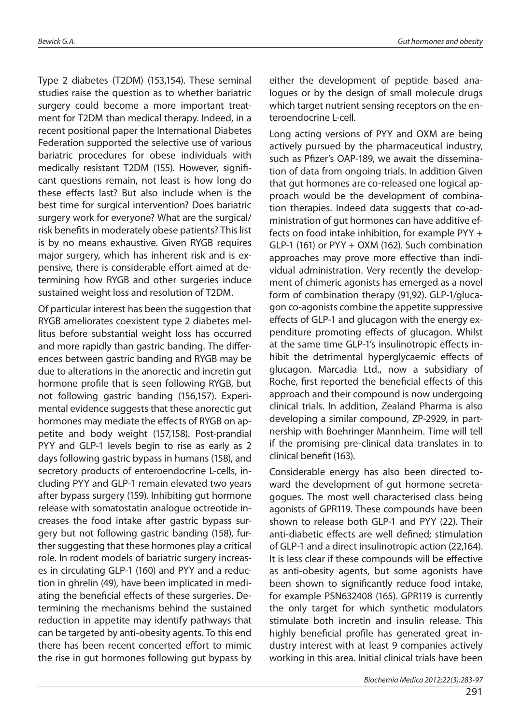Type 2 diabetes (T2DM) (153,154). These seminal studies raise the question as to whether bariatric surgery could become a more important treatment for T2DM than medical therapy. Indeed, in a recent positional paper the International Diabetes Federation supported the selective use of various bariatric procedures for obese individuals with medically resistant T2DM (155). However, significant questions remain, not least is how long do these effects last? But also include when is the best time for surgical intervention? Does bariatric surgery work for everyone? What are the surgical/ risk benefits in moderately obese patients? This list is by no means exhaustive. Given RYGB requires major surgery, which has inherent risk and is expensive, there is considerable effort aimed at determining how RYGB and other surgeries induce sustained weight loss and resolution of T2DM.

Of particular interest has been the suggestion that RYGB ameliorates coexistent type 2 diabetes mellitus before substantial weight loss has occurred and more rapidly than gastric banding. The differences between gastric banding and RYGB may be due to alterations in the anorectic and incretin gut hormone profile that is seen following RYGB, but not following gastric banding (156,157). Experimental evidence suggests that these anorectic gut hormones may mediate the effects of RYGB on appetite and body weight (157,158). Post-prandial PYY and GLP-1 levels begin to rise as early as 2 days following gastric bypass in humans (158), and secretory products of enteroendocrine L-cells, including PYY and GLP-1 remain elevated two years after bypass surgery (159). Inhibiting gut hormone release with somatostatin analogue octreotide increases the food intake after gastric bypass surgery but not following gastric banding (158), further suggesting that these hormones play a critical role. In rodent models of bariatric surgery increases in circulating GLP-1 (160) and PYY and a reduction in ghrelin (49), have been implicated in mediating the beneficial effects of these surgeries. Determining the mechanisms behind the sustained reduction in appetite may identify pathways that can be targeted by anti-obesity agents. To this end there has been recent concerted effort to mimic the rise in gut hormones following gut bypass by either the development of peptide based analogues or by the design of small molecule drugs which target nutrient sensing receptors on the enteroendocrine L-cell.

Long acting versions of PYY and OXM are being actively pursued by the pharmaceutical industry, such as Pfizer's OAP-189, we await the dissemination of data from ongoing trials. In addition Given that gut hormones are co-released one logical approach would be the development of combination therapies. Indeed data suggests that co-administration of gut hormones can have additive effects on food intake inhibition, for example PYY + GLP-1 (161) or PYY + OXM (162). Such combination approaches may prove more effective than individual administration. Very recently the development of chimeric agonists has emerged as a novel form of combination therapy (91,92). GLP-1/glucagon co-agonists combine the appetite suppressive effects of GLP-1 and glucagon with the energy expenditure promoting effects of glucagon. Whilst at the same time GLP-1's insulinotropic effects inhibit the detrimental hyperglycaemic effects of glucagon. Marcadia Ltd., now a subsidiary of Roche, first reported the beneficial effects of this approach and their compound is now undergoing clinical trials. In addition, Zealand Pharma is also developing a similar compound, ZP-2929, in partnership with Boehringer Mannheim. Time will tell if the promising pre-clinical data translates in to clinical benefit (163).

Considerable energy has also been directed toward the development of gut hormone secretagogues. The most well characterised class being agonists of GPR119. These compounds have been shown to release both GLP-1 and PYY (22). Their anti-diabetic effects are well defined; stimulation of GLP-1 and a direct insulinotropic action (22,164). It is less clear if these compounds will be effective as anti-obesity agents, but some agonists have been shown to significantly reduce food intake, for example PSN632408 (165). GPR119 is currently the only target for which synthetic modulators stimulate both incretin and insulin release. This highly beneficial profile has generated great industry interest with at least 9 companies actively working in this area. Initial clinical trials have been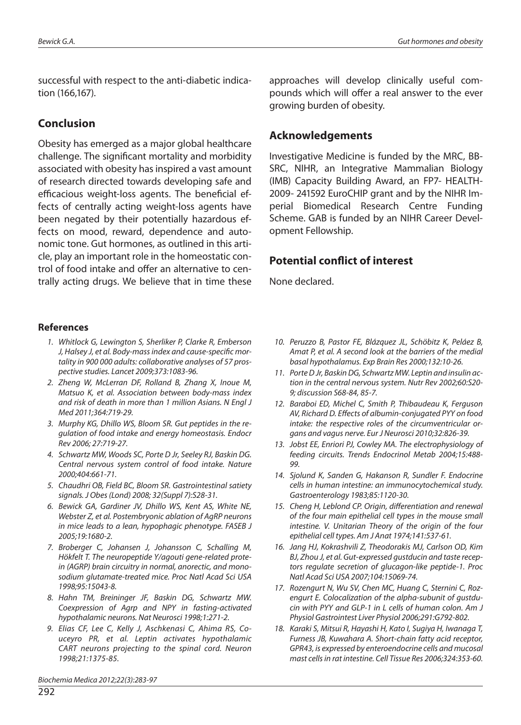successful with respect to the anti-diabetic indication (166,167).

#### **Conclusion**

Obesity has emerged as a major global healthcare challenge. The significant mortality and morbidity associated with obesity has inspired a vast amount of research directed towards developing safe and efficacious weight-loss agents. The beneficial effects of centrally acting weight-loss agents have been negated by their potentially hazardous effects on mood, reward, dependence and autonomic tone. Gut hormones, as outlined in this article, play an important role in the homeostatic control of food intake and offer an alternative to centrally acting drugs. We believe that in time these

#### **References**

- *1. Whitlock G, Lewington S, Sherliker P, Clarke R, Emberson J, Halsey J, et al. Body-mass index and cause-specific mortality in 900 000 adults: collaborative analyses of 57 prospective studies. Lancet 2009;373:1083-96.*
- *2. Zheng W, McLerran DF, Rolland B, Zhang X, Inoue M, Matsuo K, et al. Association between body-mass index and risk of death in more than 1 million Asians. N Engl J Med 2011;364:719-29.*
- *3. Murphy KG, Dhillo WS, Bloom SR. Gut peptides in the regulation of food intake and energy homeostasis. Endocr Rev 2006; 27:719-27.*
- *4. Schwartz MW, Woods SC, Porte D Jr, Seeley RJ, Baskin DG. Central nervous system control of food intake. Nature 2000;404:661-71.*
- *5. Chaudhri OB, Field BC, Bloom SR. Gastrointestinal satiety signals. J Obes (Lond) 2008; 32(Suppl 7):S28-31.*
- *6. Bewick GA, Gardiner JV, Dhillo WS, Kent AS, White NE, Webster Z, et al. Postembryonic ablation of AgRP neurons in mice leads to a lean, hypophagic phenotype. FASEB J 2005;19:1680-2.*
- *7. Broberger C, Johansen J, Johansson C, Schalling M, Hökfelt T. The neuropeptide Y/agouti gene-related protein (AGRP) brain circuitry in normal, anorectic, and monosodium glutamate-treated mice. Proc Natl Acad Sci USA 1998;95:15043-8.*
- *8. Hahn TM, Breininger JF, Baskin DG, Schwartz MW. Coexpression of Agrp and NPY in fasting-activated hypothalamic neurons. Nat Neurosci 1998;1:271-2.*
- *9. Elias CF, Lee C, Kelly J, Aschkenasi C, Ahima RS, Couceyro PR, et al. Leptin activates hypothalamic CART neurons projecting to the spinal cord. Neuron 1998;21:1375-85.*

approaches will develop clinically useful compounds which will offer a real answer to the ever growing burden of obesity.

#### **Acknowledgements**

Investigative Medicine is funded by the MRC, BB-SRC, NIHR, an Integrative Mammalian Biology (IMB) Capacity Building Award, an FP7- HEALTH-2009- 241592 EuroCHIP grant and by the NIHR Imperial Biomedical Research Centre Funding Scheme. GAB is funded by an NIHR Career Development Fellowship.

#### **Potential conflict of interest**

None declared.

- *10. Peruzzo B, Pastor FE, Blázquez JL, Schöbitz K, Peláez B, Amat P, et al. A second look at the barriers of the medial basal hypothalamus. Exp Brain Res 2000;132:10-26.*
- *11. Porte D Jr, Baskin DG, Schwartz MW. Leptin and insulin action in the central nervous system. Nutr Rev 2002;60:S20- 9; discussion S68-84, 85-7.*
- *12. Baraboi ED, Michel C, Smith P, Thibaudeau K, Ferguson AV, Richard D. Effects of albumin-conjugated PYY on food intake: the respective roles of the circumventricular organs and vagus nerve. Eur J Neurosci 2010;32:826-39.*
- *13. Jobst EE, Enriori PJ, Cowley MA. The electrophysiology of feeding circuits. Trends Endocrinol Metab 2004;15:488- 99.*
- *14. Sjolund K, Sanden G, Hakanson R, Sundler F. Endocrine cells in human intestine: an immunocytochemical study. Gastroenterology 1983;85:1120-30.*
- *15. Cheng H, Leblond CP. Origin, differentiation and renewal of the four main epithelial cell types in the mouse small intestine. V. Unitarian Theory of the origin of the four epithelial cell types. Am J Anat 1974;141:537-61.*
- *16. Jang HJ, Kokrashvili Z, Theodorakis MJ, Carlson OD, Kim BJ, Zhou J, et al. Gut-expressed gustducin and taste receptors regulate secretion of glucagon-like peptide-1. Proc Natl Acad Sci USA 2007;104:15069-74.*
- *17. Rozengurt N, Wu SV, Chen MC, Huang C, Sternini C, Rozengurt E. Colocalization of the alpha-subunit of gustducin with PYY and GLP-1 in L cells of human colon. Am J Physiol Gastrointest Liver Physiol 2006;291:G792-802.*
- *18. Karaki S, Mitsui R, Hayashi H, Kato I, Sugiya H, Iwanaga T, Furness JB, Kuwahara A. Short-chain fatty acid receptor, GPR43, is expressed by enteroendocrine cells and mucosal mast cells in rat intestine. Cell Tissue Res 2006;324:353-60.*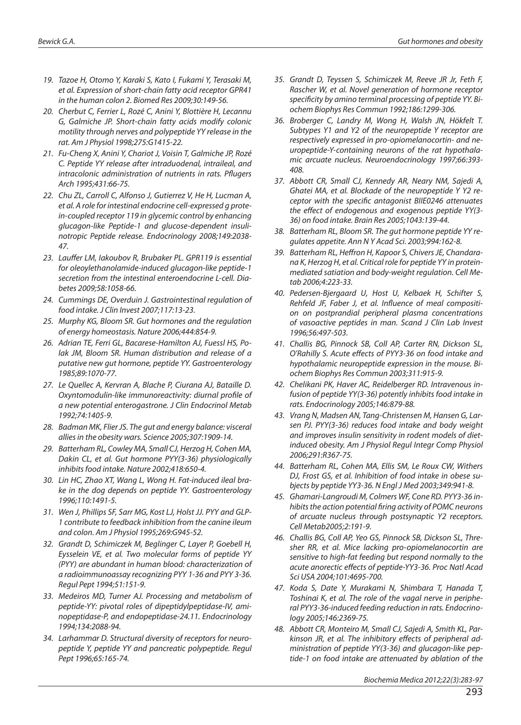- *19. Tazoe H, Otomo Y, Karaki S, Kato I, Fukami Y, Terasaki M, et al. Expression of short-chain fatty acid receptor GPR41 in the human colon 2. Biomed Res 2009;30:149-56.*
- *20. Cherbut C, Ferrier L, Rozé C, Anini Y, Blottière H, Lecannu G, Galmiche JP. Short-chain fatty acids modify colonic motility through nerves and polypeptide YY release in the rat. Am J Physiol 1998;275:G1415-22.*
- *21. Fu-Cheng X, Anini Y, Chariot J, Voisin T, Galmiche JP, Rozé C. Peptide YY release after intraduodenal, intraileal, and intracolonic administration of nutrients in rats. Pflugers Arch 1995;431:66-75.*
- *22. Chu ZL, Carroll C, Alfonso J, Gutierrez V, He H, Lucman A, et al. A role for intestinal endocrine cell-expressed g protein-coupled receptor 119 in glycemic control by enhancing glucagon-like Peptide-1 and glucose-dependent insulinotropic Peptide release. Endocrinology 2008;149:2038- 47.*
- 23. Lauffer LM, Iakoubov R, Brubaker PL. GPR119 is essential *for oleoylethanolamide-induced glucagon-like peptide-1 secretion from the intestinal enteroendocrine L-cell. Diabetes 2009;58:1058-66.*
- *24. Cummings DE, Overduin J. Gastrointestinal regulation of food intake. J Clin Invest 2007;117:13-23.*
- *25. Murphy KG, Bloom SR. Gut hormones and the regulation of energy homeostasis. Nature 2006;444:854-9.*
- *26. Adrian TE, Ferri GL, Bacarese-Hamilton AJ, Fuessl HS, Polak JM, Bloom SR. Human distribution and release of a putative new gut hormone, peptide YY. Gastroenterology 1985;89:1070-77.*
- *27. Le Quellec A, Kervran A, Blache P, Ciurana AJ, Bataille D. Oxyntomodulin-like immunoreactivity: diurnal profile of a new potential enterogastrone. J Clin Endocrinol Metab 1992;74:1405-9.*
- *28. Badman MK, Flier JS. The gut and energy balance: visceral allies in the obesity wars. Science 2005;307:1909-14.*
- *29. Batterham RL, Cowley MA, Small CJ, Herzog H, Cohen MA, Dakin CL, et al. Gut hormone PYY(3-36) physiologically inhibits food intake. Nature 2002;418:650-4.*
- *30. Lin HC, Zhao XT, Wang L, Wong H. Fat-induced ileal brake in the dog depends on peptide YY. Gastroenterology 1996;110:1491-5.*
- *31. Wen J, Phillips SF, Sarr MG, Kost LJ, Holst JJ. PYY and GLP-1 contribute to feedback inhibition from the canine ileum and colon. Am J Physiol 1995;269:G945-52.*
- *32. Grandt D, Schimiczek M, Beglinger C, Layer P, Goebell H, Eysselein VE, et al. Two molecular forms of peptide YY (PYY) are abundant in human blood: characterization of a radioimmunoassay recognizing PYY 1-36 and PYY 3-36. Regul Pept 1994;51:151-9.*
- *33. Medeiros MD, Turner AJ. Processing and metabolism of peptide-YY: pivotal roles of dipeptidylpeptidase-IV, aminopeptidase-P, and endopeptidase-24.11. Endocrinology 1994;134:2088-94.*
- *34. Larhammar D. Structural diversity of receptors for neuropeptide Y, peptide YY and pancreatic polypeptide. Regul Pept 1996;65:165-74.*
- *35. Grandt D, Teyssen S, Schimiczek M, Reeve JR Jr, Feth F, Rascher W, et al. Novel generation of hormone receptor specificity by amino terminal processing of peptide YY. Biochem Biophys Res Commun 1992;186:1299-306.*
- *36. Broberger C, Landry M, Wong H, Walsh JN, Hökfelt T. Subtypes Y1 and Y2 of the neuropeptide Y receptor are respectively expressed in pro-opiomelanocortin- and neuropeptide-Y-containing neurons of the rat hypothalamic arcuate nucleus. Neuroendocrinology 1997;66:393- 408.*
- *37. Abbott CR, Small CJ, Kennedy AR, Neary NM, Sajedi A, Ghatei MA, et al. Blockade of the neuropeptide Y Y2 receptor with the specific antagonist BIIE0246 attenuates the effect of endogenous and exogenous peptide YY(3- 36) on food intake. Brain Res 2005;1043:139-44.*
- *38. Batterham RL, Bloom SR. The gut hormone peptide YY regulates appetite. Ann N Y Acad Sci. 2003;994:162-8.*
- *39. Batterham RL, Heffron H, Kapoor S, Chivers JE, Chandarana K, Herzog H, et al. Critical role for peptide YY in proteinmediated satiation and body-weight regulation. Cell Metab 2006;4:223-33.*
- *40. Pedersen-Bjergaard U, Host U, Kelbaek H, Schifter S, Rehfeld JF, Faber J, et al. Influence of meal composition on postprandial peripheral plasma concentrations of vasoactive peptides in man. Scand J Clin Lab Invest 1996;56:497-503.*
- *41. Challis BG, Pinnock SB, Coll AP, Carter RN, Dickson SL, O'Rahilly S. Acute effects of PYY3-36 on food intake and hypothalamic neuropeptide expression in the mouse. Biochem Biophys Res Commun 2003;311:915-9.*
- *42. Chelikani PK, Haver AC, Reidelberger RD. Intravenous infusion of peptide YY(3-36) potently inhibits food intake in rats. Endocrinology 2005;146:879-88.*
- *43. Vrang N, Madsen AN, Tang-Christensen M, Hansen G, Larsen PJ. PYY(3-36) reduces food intake and body weight and improves insulin sensitivity in rodent models of dietinduced obesity. Am J Physiol Regul Integr Comp Physiol 2006;291:R367-75.*
- *44. Batterham RL, Cohen MA, Ellis SM, Le Roux CW, Withers DJ, Frost GS, et al. Inhibition of food intake in obese subjects by peptide YY3-36. N Engl J Med 2003;349:941-8.*
- *45. Ghamari-Langroudi M, Colmers WF, Cone RD. PYY3-36 inhibits the action potential firing activity of POMC neurons of arcuate nucleus through postsynaptic Y2 receptors. Cell Metab2005;2:191-9.*
- *46. Challis BG, Coll AP, Yeo GS, Pinnock SB, Dickson SL, Thresher RR, et al. Mice lacking pro-opiomelanocortin are sensitive to high-fat feeding but respond normally to the acute anorectic effects of peptide-YY3-36. Proc Natl Acad Sci USA 2004;101:4695-700.*
- *47. Koda S, Date Y, Murakami N, Shimbara T, Hanada T, Toshinai K, et al. The role of the vagal nerve in peripheral PYY3-36-induced feeding reduction in rats. Endocrinology 2005;146:2369-75.*
- *48. Abbott CR, Monteiro M, Small CJ, Sajedi A, Smith KL, Parkinson JR, et al. The inhibitory effects of peripheral administration of peptide YY(3-36) and glucagon-like peptide-1 on food intake are attenuated by ablation of the*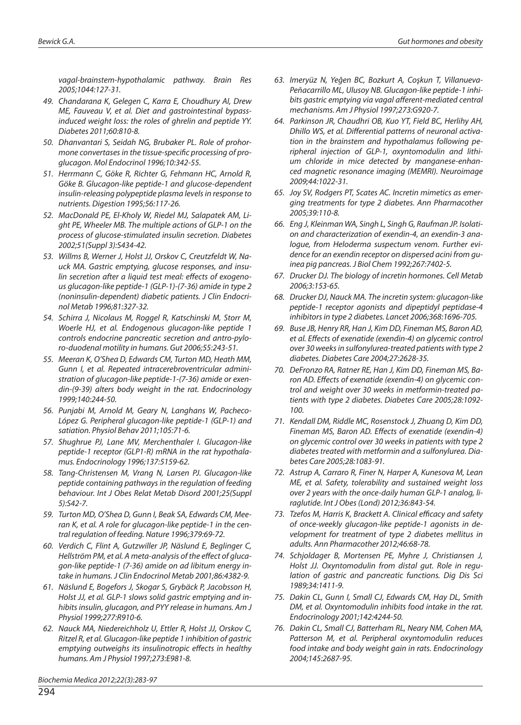*vagal-brainstem-hypothalamic pathway. Brain Res 2005;1044:127-31.*

- *49. Chandarana K, Gelegen C, Karra E, Choudhury AI, Drew ME, Fauveau V, et al. Diet and gastrointestinal bypassinduced weight loss: the roles of ghrelin and peptide YY. Diabetes 2011;60:810-8.*
- *50. Dhanvantari S, Seidah NG, Brubaker PL. Role of prohormone convertases in the tissue-specific processing of proglucagon. Mol Endocrinol 1996;10:342-55.*
- *51. Herrmann C, Göke R, Richter G, Fehmann HC, Arnold R, Göke B. Glucagon-like peptide-1 and glucose-dependent insulin-releasing polypeptide plasma levels in response to nutrients. Digestion 1995;56:117-26.*
- *52. MacDonald PE, El-Kholy W, Riedel MJ, Salapatek AM, Light PE, Wheeler MB. The multiple actions of GLP-1 on the process of glucose-stimulated insulin secretion. Diabetes 2002;51(Suppl 3):S434-42.*
- *53. Willms B, Werner J, Holst JJ, Orskov C, Creutzfeldt W, Nauck MA. Gastric emptying, glucose responses, and insulin secretion after a liquid test meal: effects of exogenous glucagon-like peptide-1 (GLP-1)-(7-36) amide in type 2 (noninsulin-dependent) diabetic patients. J Clin Endocrinol Metab 1996;81:327-32.*
- *54. Schirra J, Nicolaus M, Roggel R, Katschinski M, Storr M, Woerle HJ, et al. Endogenous glucagon-like peptide 1 controls endocrine pancreatic secretion and antro-pyloro-duodenal motility in humans. Gut 2006;55:243-51.*
- *55. Meeran K, O'Shea D, Edwards CM, Turton MD, Heath MM, Gunn I, et al. Repeated intracerebroventricular administration of glucagon-like peptide-1-(7-36) amide or exendin-(9-39) alters body weight in the rat. Endocrinology 1999;140:244-50.*
- *56. Punjabi M, Arnold M, Geary N, Langhans W, Pacheco-López G. Peripheral glucagon-like peptide-1 (GLP-1) and satiation. Physiol Behav 2011;105:71-6.*
- *57. Shughrue PJ, Lane MV, Merchenthaler I. Glucagon-like peptide-1 receptor (GLP1-R) mRNA in the rat hypothalamus. Endocrinology 1996;137:5159-62.*
- *58. Tang-Christensen M, Vrang N, Larsen PJ. Glucagon-like peptide containing pathways in the regulation of feeding behaviour. Int J Obes Relat Metab Disord 2001;25(Suppl 5):S42-7.*
- *59. Turton MD, O'Shea D, Gunn I, Beak SA, Edwards CM, Meeran K, et al. A role for glucagon-like peptide-1 in the central regulation of feeding. Nature 1996;379:69-72.*
- *60. Verdich C, Flint A, Gutzwiller JP, Näslund E, Beglinger C, Hellström PM, et al. A meta-analysis of the effect of glucagon-like peptide-1 (7-36) amide on ad libitum energy intake in humans. J Clin Endocrinol Metab 2001;86:4382-9.*
- *61. Näslund E, Bogefors J, Skogar S, Grybäck P, Jacobsson H, Holst JJ, et al. GLP-1 slows solid gastric emptying and inhibits insulin, glucagon, and PYY release in humans. Am J Physiol 1999;277:R910-6.*
- *62. Nauck MA, Niedereichholz U, Ettler R, Holst JJ, Orskov C, Ritzel R, et al. Glucagon-like peptide 1 inhibition of gastric emptying outweighs its insulinotropic effects in healthy humans. Am J Physiol 1997;273:E981-8.*

*63. Imeryüz N, Yeğen BC, Bozkurt A, Coşkun T, Villanueva-Peñacarrillo ML, Ulusoy NB. Glucagon-like peptide-1 inhibits gastric emptying via vagal afferent-mediated central mechanisms. Am J Physiol 1997;273:G920-7.*

- *64. Parkinson JR, Chaudhri OB, Kuo YT, Field BC, Herlihy AH, Dhillo WS, et al. Differential patterns of neuronal activation in the brainstem and hypothalamus following peripheral injection of GLP-1, oxyntomodulin and lithium chloride in mice detected by manganese-enhanced magnetic resonance imaging (MEMRI). Neuroimage 2009;44:1022-31.*
- *65. Joy SV, Rodgers PT, Scates AC. Incretin mimetics as emerging treatments for type 2 diabetes. Ann Pharmacother 2005;39:110-8.*
- *66. Eng J, Kleinman WA, Singh L, Singh G, Raufman JP. Isolation and characterization of exendin-4, an exendin-3 analogue, from Heloderma suspectum venom. Further evidence for an exendin receptor on dispersed acini from guinea pig pancreas. J Biol Chem 1992;267:7402-5.*
- *67. Drucker DJ. The biology of incretin hormones. Cell Metab 2006;3:153-65.*
- *68. Drucker DJ, Nauck MA. The incretin system: glucagon-like peptide-1 receptor agonists and dipeptidyl peptidase-4 inhibitors in type 2 diabetes. Lancet 2006;368:1696-705.*
- *69. Buse JB, Henry RR, Han J, Kim DD, Fineman MS, Baron AD, et al. Effects of exenatide (exendin-4) on glycemic control over 30 weeks in sulfonylurea-treated patients with type 2 diabetes. Diabetes Care 2004;27:2628-35.*
- *70. DeFronzo RA, Ratner RE, Han J, Kim DD, Fineman MS, Baron AD. Effects of exenatide (exendin-4) on glycemic control and weight over 30 weeks in metformin-treated patients with type 2 diabetes. Diabetes Care 2005;28:1092- 100.*
- *71. Kendall DM, Riddle MC, Rosenstock J, Zhuang D, Kim DD, Fineman MS, Baron AD. Effects of exenatide (exendin-4) on glycemic control over 30 weeks in patients with type 2 diabetes treated with metformin and a sulfonylurea. Diabetes Care 2005;28:1083-91.*
- *72. Astrup A, Carraro R, Finer N, Harper A, Kunesova M, Lean ME, et al. Safety, tolerability and sustained weight loss over 2 years with the once-daily human GLP-1 analog, liraglutide. Int J Obes (Lond) 2012;36:843-54.*
- *73. Tzefos M, Harris K, Brackett A. Clinical efficacy and safety of once-weekly glucagon-like peptide-1 agonists in development for treatment of type 2 diabetes mellitus in adults. Ann Pharmacother 2012;46:68-78.*
- *74. Schjoldager B, Mortensen PE, Myhre J, Christiansen J, Holst JJ. Oxyntomodulin from distal gut. Role in regulation of gastric and pancreatic functions. Dig Dis Sci 1989;34:1411-9.*
- *75. Dakin CL, Gunn I, Small CJ, Edwards CM, Hay DL, Smith DM, et al. Oxyntomodulin inhibits food intake in the rat. Endocrinology 2001;142:4244-50.*
- *76. Dakin CL, Small CJ, Batterham RL, Neary NM, Cohen MA, Patterson M, et al. Peripheral oxyntomodulin reduces food intake and body weight gain in rats. Endocrinology 2004;145:2687-95.*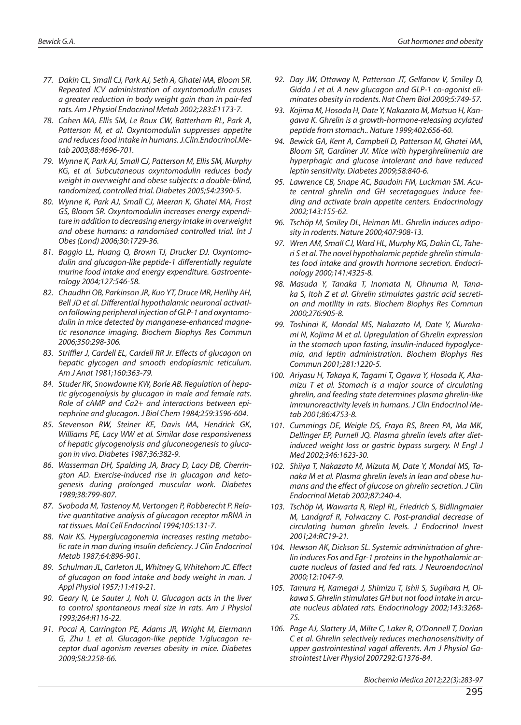- *77. Dakin CL, Small CJ, Park AJ, Seth A, Ghatei MA, Bloom SR. Repeated ICV administration of oxyntomodulin causes a greater reduction in body weight gain than in pair-fed rats. Am J Physiol Endocrinol Metab 2002;283:E1173-7.*
- *78. Cohen MA, Ellis SM, Le Roux CW, Batterham RL, Park A, Patterson M, et al. Oxyntomodulin suppresses appetite and reduces food intake in humans. J.Clin.Endocrinol.Metab 2003;88:4696-701.*
- *79. Wynne K, Park AJ, Small CJ, Patterson M, Ellis SM, Murphy KG, et al. Subcutaneous oxyntomodulin reduces body weight in overweight and obese subjects: a double-blind, randomized, controlled trial. Diabetes 2005;54:2390-5.*
- *80. Wynne K, Park AJ, Small CJ, Meeran K, Ghatei MA, Frost GS, Bloom SR. Oxyntomodulin increases energy expenditure in addition to decreasing energy intake in overweight and obese humans: a randomised controlled trial. Int J Obes (Lond) 2006;30:1729-36.*
- *81. Baggio LL, Huang Q, Brown TJ, Drucker DJ. Oxyntomodulin and glucagon-like peptide-1 differentially regulate murine food intake and energy expenditure. Gastroenterology 2004;127:546-58.*
- *82. Chaudhri OB, Parkinson JR, Kuo YT, Druce MR, Herlihy AH, Bell JD et al. Differential hypothalamic neuronal activation following peripheral injection of GLP-1 and oxyntomodulin in mice detected by manganese-enhanced magnetic resonance imaging. Biochem Biophys Res Commun 2006;350:298-306.*
- *83. Striffler J, Cardell EL, Cardell RR Jr. Effects of glucagon on hepatic glycogen and smooth endoplasmic reticulum. Am J Anat 1981;160:363-79.*
- *84. Studer RK, Snowdowne KW, Borle AB. Regulation of hepatic glycogenolysis by glucagon in male and female rats. Role of cAMP and Ca2+ and interactions between epinephrine and glucagon. J Biol Chem 1984;259:3596-604.*
- *85. Stevenson RW, Steiner KE, Davis MA, Hendrick GK, Williams PE, Lacy WW et al. Similar dose responsiveness of hepatic glycogenolysis and gluconeogenesis to glucagon in vivo. Diabetes 1987;36:382-9.*
- *86. Wasserman DH, Spalding JA, Bracy D, Lacy DB, Cherrington AD. Exercise-induced rise in glucagon and ketogenesis during prolonged muscular work. Diabetes 1989;38:799-807.*
- *87. Svoboda M, Tastenoy M, Vertongen P, Robberecht P. Relative quantitative analysis of glucagon receptor mRNA in rat tissues. Mol Cell Endocrinol 1994;105:131-7.*
- *88. Nair KS. Hyperglucagonemia increases resting metabolic rate in man during insulin deficiency. J Clin Endocrinol Metab 1987;64:896-901.*
- *89. Schulman JL, Carleton JL, Whitney G, Whitehorn JC. Effect of glucagon on food intake and body weight in man. J Appl Physiol 1957;11:419-21.*
- *90. Geary N, Le Sauter J, Noh U. Glucagon acts in the liver to control spontaneous meal size in rats. Am J Physiol 1993;264:R116-22.*
- *91. Pocai A, Carrington PE, Adams JR, Wright M, Eiermann G, Zhu L et al. Glucagon-like peptide 1/glucagon receptor dual agonism reverses obesity in mice. Diabetes 2009;58:2258-66.*
- *92. Day JW, Ottaway N, Patterson JT, Gelfanov V, Smiley D, Gidda J et al. A new glucagon and GLP-1 co-agonist eliminates obesity in rodents. Nat Chem Biol 2009;5:749-57.*
- *93. Kojima M, Hosoda H, Date Y, Nakazato M, Matsuo H, Kangawa K. Ghrelin is a growth-hormone-releasing acylated peptide from stomach.. Nature 1999;402:656-60.*
- *94. Bewick GA, Kent A, Campbell D, Patterson M, Ghatei MA, Bloom SR, Gardiner JV. Mice with hyperghrelinemia are hyperphagic and glucose intolerant and have reduced leptin sensitivity. Diabetes 2009;58:840-6.*
- *95. Lawrence CB, Snape AC, Baudoin FM, Luckman SM. Acute central ghrelin and GH secretagogues induce feeding and activate brain appetite centers. Endocrinology 2002;143:155-62.*
- *96. Tschöp M, Smiley DL, Heiman ML. Ghrelin induces adiposity in rodents. Nature 2000;407:908-13.*
- *97. Wren AM, Small CJ, Ward HL, Murphy KG, Dakin CL, Taheri S et al. The novel hypothalamic peptide ghrelin stimulates food intake and growth hormone secretion. Endocrinology 2000;141:4325-8.*
- *98. Masuda Y, Tanaka T, Inomata N, Ohnuma N, Tanaka S, Itoh Z et al. Ghrelin stimulates gastric acid secretion and motility in rats. Biochem Biophys Res Commun 2000;276:905-8.*
- *99. Toshinai K, Mondal MS, Nakazato M, Date Y, Murakami N, Kojima M et al. Upregulation of Ghrelin expression in the stomach upon fasting, insulin-induced hypoglycemia, and leptin administration. Biochem Biophys Res Commun 2001;281:1220-5.*
- *100. Ariyasu H, Takaya K, Tagami T, Ogawa Y, Hosoda K, Akamizu T et al. Stomach is a major source of circulating ghrelin, and feeding state determines plasma ghrelin-like immunoreactivity levels in humans. J Clin Endocrinol Metab 2001;86:4753-8.*
- *101. Cummings DE, Weigle DS, Frayo RS, Breen PA, Ma MK, Dellinger EP, Purnell JQ. Plasma ghrelin levels after dietinduced weight loss or gastric bypass surgery. N Engl J Med 2002;346:1623-30.*
- *102. Shiiya T, Nakazato M, Mizuta M, Date Y, Mondal MS, Tanaka M et al. Plasma ghrelin levels in lean and obese humans and the effect of glucose on ghrelin secretion. J Clin Endocrinol Metab 2002;87:240-4.*
- *103. Tschöp M, Wawarta R, Riepl RL, Friedrich S, Bidlingmaier M, Landgraf R, Folwaczny C. Post-prandial decrease of circulating human ghrelin levels. J Endocrinol Invest 2001;24:RC19-21.*
- *104. Hewson AK, Dickson SL. Systemic administration of ghrelin induces Fos and Egr-1 proteins in the hypothalamic arcuate nucleus of fasted and fed rats. J Neuroendocrinol 2000;12:1047-9.*
- *105. Tamura H, Kamegai J, Shimizu T, Ishii S, Sugihara H, Oikawa S. Ghrelin stimulates GH but not food intake in arcuate nucleus ablated rats. Endocrinology 2002;143:3268- 75.*
- *106. Page AJ, Slattery JA, Milte C, Laker R, O'Donnell T, Dorian C et al. Ghrelin selectively reduces mechanosensitivity of upper gastrointestinal vagal afferents. Am J Physiol Gastrointest Liver Physiol 2007292:G1376-84.*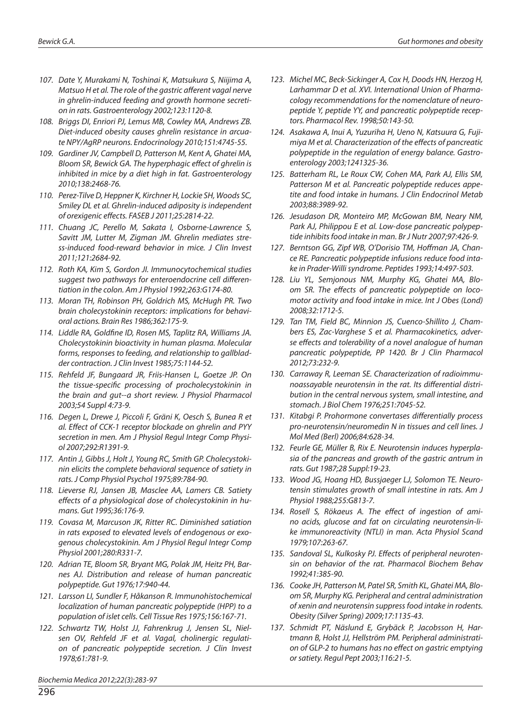- *107. Date Y, Murakami N, Toshinai K, Matsukura S, Niijima A, Matsuo H et al. The role of the gastric afferent vagal nerve in ghrelin-induced feeding and growth hormone secretion in rats. Gastroenterology 2002;123:1120-8.*
- *108. Briggs DI, Enriori PJ, Lemus MB, Cowley MA, Andrews ZB. Diet-induced obesity causes ghrelin resistance in arcuate NPY/AgRP neurons. Endocrinology 2010;151:4745-55.*
- *109. Gardiner JV, Campbell D, Patterson M, Kent A, Ghatei MA, Bloom SR, Bewick GA. The hyperphagic effect of ghrelin is inhibited in mice by a diet high in fat. Gastroenterology 2010;138:2468-76.*
- *110. Perez-Tilve D, Heppner K, Kirchner H, Lockie SH, Woods SC, Smiley DL et al. Ghrelin-induced adiposity is independent of orexigenic effects. FASEB J 2011;25:2814-22.*
- *111. Chuang JC, Perello M, Sakata I, Osborne-Lawrence S, Savitt JM, Lutter M, Zigman JM. Ghrelin mediates stress-induced food-reward behavior in mice. J Clin Invest 2011;121:2684-92.*
- *112. Roth KA, Kim S, Gordon JI. Immunocytochemical studies suggest two pathways for enteroendocrine cell differentiation in the colon. Am J Physiol 1992;263:G174-80.*
- *113. Moran TH, Robinson PH, Goldrich MS, McHugh PR. Two brain cholecystokinin receptors: implications for behavioral actions. Brain Res 1986;362:175-9.*
- *114. Liddle RA, Goldfine ID, Rosen MS, Taplitz RA, Williams JA. Cholecystokinin bioactivity in human plasma. Molecular forms, responses to feeding, and relationship to gallbladder contraction. J Clin Invest 1985;75:1144-52.*
- *115. Rehfeld JF, Bungaard JR, Friis-Hansen L, Goetze JP. On the tissue-specific processing of procholecystokinin in the brain and gut--a short review. J Physiol Pharmacol 2003;54 Suppl 4:73-9.*
- *116. Degen L, Drewe J, Piccoli F, Gräni K, Oesch S, Bunea R et al. Effect of CCK-1 receptor blockade on ghrelin and PYY secretion in men. Am J Physiol Regul Integr Comp Physiol 2007;292:R1391-9.*
- *117. Antin J, Gibbs J, Holt J, Young RC, Smith GP. Cholecystokinin elicits the complete behavioral sequence of satiety in rats. J Comp Physiol Psychol 1975;89:784-90.*
- *118. Lieverse RJ, Jansen JB, Masclee AA, Lamers CB. Satiety effects of a physiological dose of cholecystokinin in humans. Gut 1995;36:176-9.*
- *119. Covasa M, Marcuson JK, Ritter RC. Diminished satiation in rats exposed to elevated levels of endogenous or exogenous cholecystokinin. Am J Physiol Regul Integr Comp Physiol 2001;280:R331-7.*
- *120. Adrian TE, Bloom SR, Bryant MG, Polak JM, Heitz PH, Barnes AJ. Distribution and release of human pancreatic polypeptide. Gut 1976;17:940-44.*
- *121. Larsson LI, Sundler F, Håkanson R. Immunohistochemical localization of human pancreatic polypeptide (HPP) to a population of islet cells. Cell Tissue Res 1975;156:167-71.*
- *122. Schwartz TW, Holst JJ, Fahrenkrug J, Jensen SL, Nielsen OV, Rehfeld JF et al. Vagal, cholinergic regulation of pancreatic polypeptide secretion. J Clin Invest 1978;61:781-9.*

- *123. Michel MC, Beck-Sickinger A, Cox H, Doods HN, Herzog H, Larhammar D et al. XVI. International Union of Pharmacology recommendations for the nomenclature of neuropeptide Y, peptide YY, and pancreatic polypeptide receptors. Pharmacol Rev. 1998;50:143-50.*
- *124. Asakawa A, Inui A, Yuzuriha H, Ueno N, Katsuura G, Fujimiya M et al. Characterization of the effects of pancreatic polypeptide in the regulation of energy balance. Gastroenterology 2003;1241325-36.*
- *125. Batterham RL, Le Roux CW, Cohen MA, Park AJ, Ellis SM, Patterson M et al. Pancreatic polypeptide reduces appetite and food intake in humans. J Clin Endocrinol Metab 2003;88:3989-92.*
- *126. Jesudason DR, Monteiro MP, McGowan BM, Neary NM, Park AJ, Philippou E et al. Low-dose pancreatic polypeptide inhibits food intake in man. Br J Nutr 2007;97:426-9.*
- *127. Berntson GG, Zipf WB, O'Dorisio TM, Hoffman JA, Chance RE. Pancreatic polypeptide infusions reduce food intake in Prader-Willi syndrome. Peptides 1993;14:497-503.*
- *128. Liu YL, Semjonous NM, Murphy KG, Ghatei MA, Bloom SR. The effects of pancreatic polypeptide on locomotor activity and food intake in mice. Int J Obes (Lond) 2008;32:1712-5.*
- *129. Tan TM, Field BC, Minnion JS, Cuenco-Shillito J, Chambers ES, Zac-Varghese S et al. Pharmacokinetics, adverse effects and tolerability of a novel analogue of human pancreatic polypeptide, PP 1420. Br J Clin Pharmacol 2012;73:232-9.*
- *130. Carraway R, Leeman SE. Characterization of radioimmunoassayable neurotensin in the rat. Its differential distribution in the central nervous system, small intestine, and stomach. J Biol Chem 1976;251:7045-52.*
- *131. Kitabgi P. Prohormone convertases differentially process pro-neurotensin/neuromedin N in tissues and cell lines. J Mol Med (Berl) 2006;84:628-34.*
- *132. Feurle GE, Müller B, Rix E. Neurotensin induces hyperplasia of the pancreas and growth of the gastric antrum in rats. Gut 1987;28 Suppl:19-23.*
- *133. Wood JG, Hoang HD, Bussjaeger LJ, Solomon TE. Neurotensin stimulates growth of small intestine in rats. Am J Physiol 1988;255:G813-7.*
- *134. Rosell S, Rökaeus A. The effect of ingestion of amino acids, glucose and fat on circulating neurotensin-like immunoreactivity (NTLI) in man. Acta Physiol Scand 1979;107:263-67.*
- *135. Sandoval SL, Kulkosky PJ. Effects of peripheral neurotensin on behavior of the rat. Pharmacol Biochem Behav 1992;41:385-90.*
- *136. Cooke JH, Patterson M, Patel SR, Smith KL, Ghatei MA, Bloom SR, Murphy KG. Peripheral and central administration of xenin and neurotensin suppress food intake in rodents. Obesity (Silver Spring) 2009;17:1135-43.*
- *137. Schmidt PT, Näslund E, Grybäck P, Jacobsson H, Hartmann B, Holst JJ, Hellström PM. Peripheral administration of GLP-2 to humans has no effect on gastric emptying or satiety. Regul Pept 2003;116:21-5.*